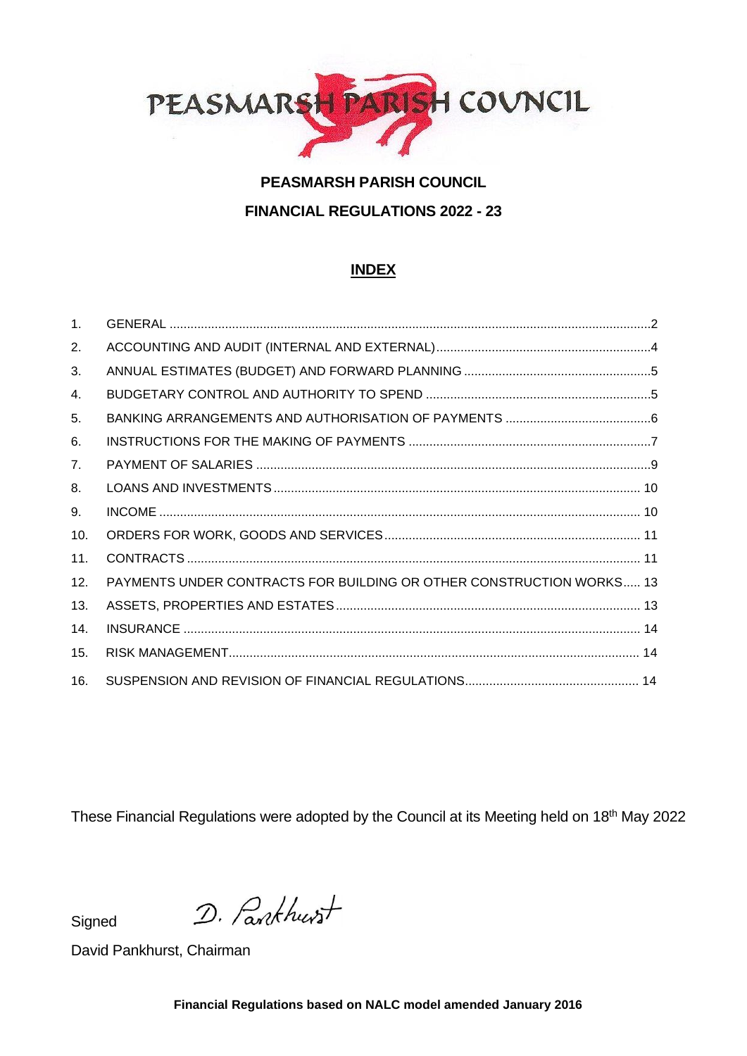

# **PEASMARSH PARISH COUNCIL FINANCIAL REGULATIONS 2022 - 23**

# **INDEX**

| 1 <sub>1</sub> |                                                                      |  |
|----------------|----------------------------------------------------------------------|--|
| 2.             |                                                                      |  |
| 3.             |                                                                      |  |
| 4.             |                                                                      |  |
| 5.             |                                                                      |  |
| 6.             |                                                                      |  |
| 7.             |                                                                      |  |
| 8.             |                                                                      |  |
| 9.             |                                                                      |  |
| 10.            |                                                                      |  |
| 11.            |                                                                      |  |
| 12.            | PAYMENTS UNDER CONTRACTS FOR BUILDING OR OTHER CONSTRUCTION WORKS 13 |  |
| 13.            |                                                                      |  |
| 14.            |                                                                      |  |
| 15.            |                                                                      |  |
| 16.            |                                                                      |  |

These Financial Regulations were adopted by the Council at its Meeting held on 18<sup>th</sup> May 2022

**Signed** 

D. Pankhurst

David Pankhurst, Chairman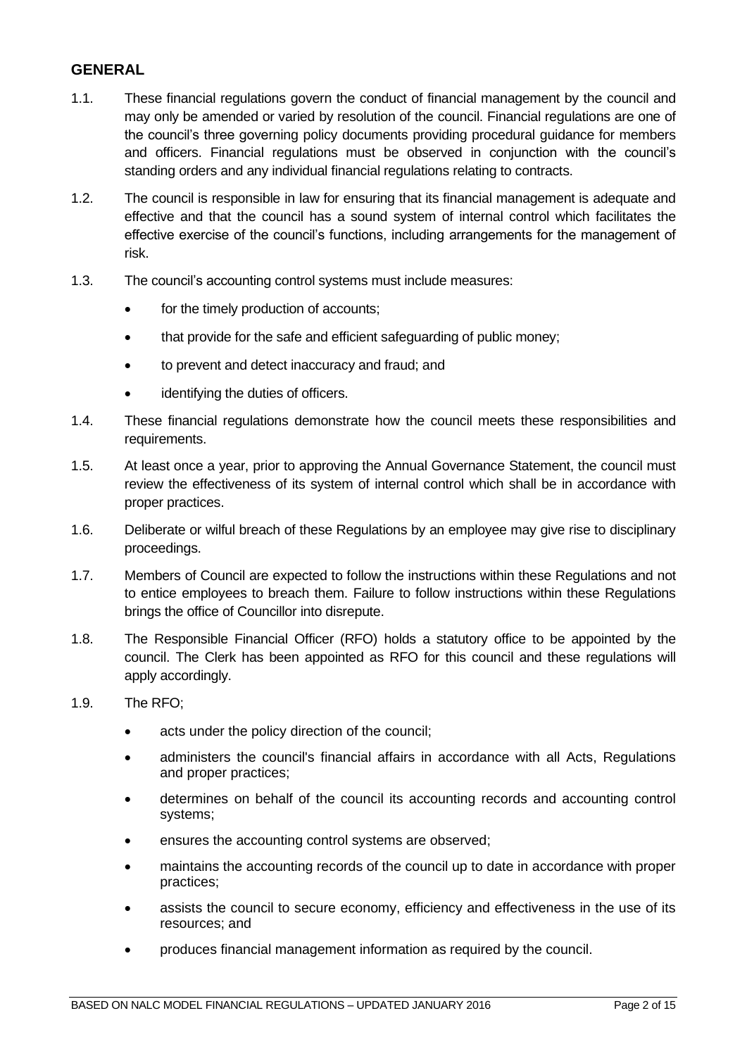### <span id="page-1-0"></span>**GENERAL**

- 1.1. These financial regulations govern the conduct of financial management by the council and may only be amended or varied by resolution of the council. Financial regulations are one of the council's three governing policy documents providing procedural guidance for members and officers. Financial regulations must be observed in conjunction with the council's standing orders and any individual financial regulations relating to contracts.
- 1.2. The council is responsible in law for ensuring that its financial management is adequate and effective and that the council has a sound system of internal control which facilitates the effective exercise of the council's functions, including arrangements for the management of risk.
- 1.3. The council's accounting control systems must include measures:
	- for the timely production of accounts;
	- that provide for the safe and efficient safeguarding of public money;
	- to prevent and detect inaccuracy and fraud; and
	- identifying the duties of officers.
- 1.4. These financial regulations demonstrate how the council meets these responsibilities and requirements.
- 1.5. At least once a year, prior to approving the Annual Governance Statement, the council must review the effectiveness of its system of internal control which shall be in accordance with proper practices.
- 1.6. Deliberate or wilful breach of these Regulations by an employee may give rise to disciplinary proceedings.
- 1.7. Members of Council are expected to follow the instructions within these Regulations and not to entice employees to breach them. Failure to follow instructions within these Regulations brings the office of Councillor into disrepute.
- 1.8. The Responsible Financial Officer (RFO) holds a statutory office to be appointed by the council. The Clerk has been appointed as RFO for this council and these regulations will apply accordingly.
- 1.9. The RFO;
	- acts under the policy direction of the council;
	- administers the council's financial affairs in accordance with all Acts, Regulations and proper practices;
	- determines on behalf of the council its accounting records and accounting control systems;
	- ensures the accounting control systems are observed;
	- maintains the accounting records of the council up to date in accordance with proper practices;
	- assists the council to secure economy, efficiency and effectiveness in the use of its resources; and
	- produces financial management information as required by the council.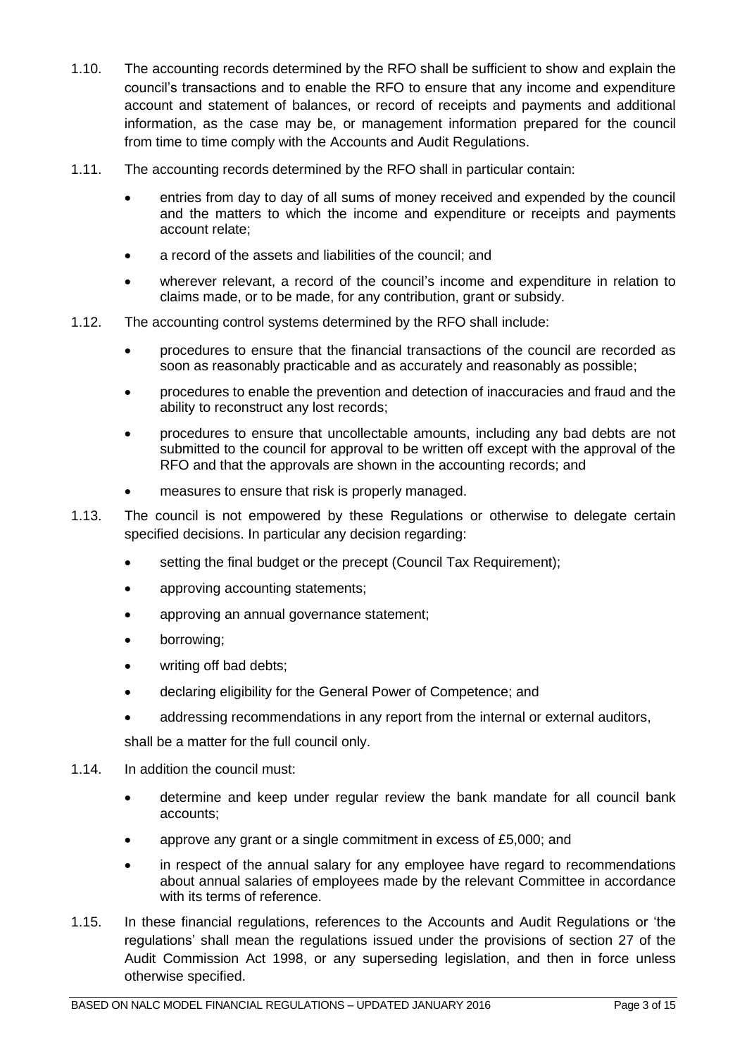- 1.10. The accounting records determined by the RFO shall be sufficient to show and explain the council's transactions and to enable the RFO to ensure that any income and expenditure account and statement of balances, or record of receipts and payments and additional information, as the case may be, or management information prepared for the council from time to time comply with the Accounts and Audit Regulations.
- 1.11. The accounting records determined by the RFO shall in particular contain:
	- entries from day to day of all sums of money received and expended by the council and the matters to which the income and expenditure or receipts and payments account relate;
	- a record of the assets and liabilities of the council; and
	- wherever relevant, a record of the council's income and expenditure in relation to claims made, or to be made, for any contribution, grant or subsidy.
- 1.12. The accounting control systems determined by the RFO shall include:
	- procedures to ensure that the financial transactions of the council are recorded as soon as reasonably practicable and as accurately and reasonably as possible;
	- procedures to enable the prevention and detection of inaccuracies and fraud and the ability to reconstruct any lost records;
	- procedures to ensure that uncollectable amounts, including any bad debts are not submitted to the council for approval to be written off except with the approval of the RFO and that the approvals are shown in the accounting records; and
	- measures to ensure that risk is properly managed.
- 1.13. The council is not empowered by these Regulations or otherwise to delegate certain specified decisions. In particular any decision regarding:
	- setting the final budget or the precept (Council Tax Requirement);
	- approving accounting statements;
	- approving an annual governance statement;
	- borrowing;
	- writing off bad debts;
	- declaring eligibility for the General Power of Competence; and
	- addressing recommendations in any report from the internal or external auditors,

shall be a matter for the full council only.

- 1.14. In addition the council must:
	- determine and keep under regular review the bank mandate for all council bank accounts;
	- approve any grant or a single commitment in excess of £5,000; and
	- in respect of the annual salary for any employee have regard to recommendations about annual salaries of employees made by the relevant Committee in accordance with its terms of reference.
- 1.15. In these financial regulations, references to the Accounts and Audit Regulations or 'the regulations' shall mean the regulations issued under the provisions of section 27 of the Audit Commission Act 1998, or any superseding legislation, and then in force unless otherwise specified.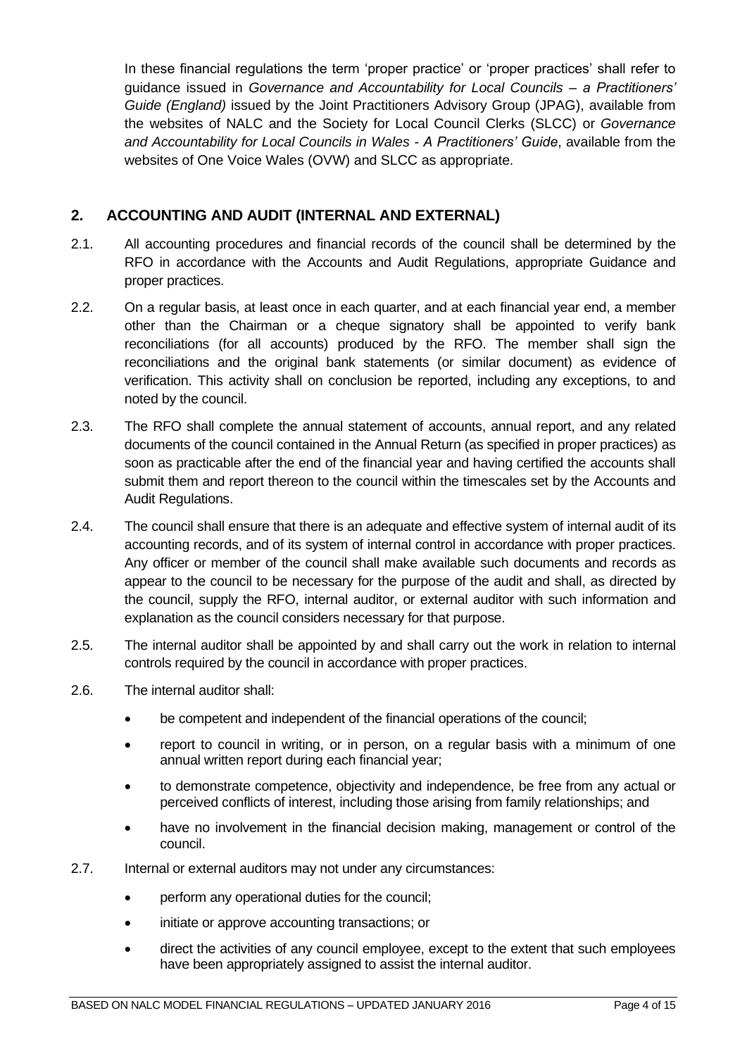In these financial regulations the term 'proper practice' or 'proper practices' shall refer to guidance issued in *Governance and Accountability for Local Councils – a Practitioners' Guide (England)* issued by the Joint Practitioners Advisory Group (JPAG), available from the websites of NALC and the Society for Local Council Clerks (SLCC) or *Governance and Accountability for Local Councils in Wales - A Practitioners' Guide*, available from the websites of One Voice Wales (OVW) and SLCC as appropriate.

# <span id="page-3-0"></span>**2. ACCOUNTING AND AUDIT (INTERNAL AND EXTERNAL)**

- 2.1. All accounting procedures and financial records of the council shall be determined by the RFO in accordance with the Accounts and Audit Regulations, appropriate Guidance and proper practices.
- 2.2. On a regular basis, at least once in each quarter, and at each financial year end, a member other than the Chairman or a cheque signatory shall be appointed to verify bank reconciliations (for all accounts) produced by the RFO. The member shall sign the reconciliations and the original bank statements (or similar document) as evidence of verification. This activity shall on conclusion be reported, including any exceptions, to and noted by the council.
- 2.3. The RFO shall complete the annual statement of accounts, annual report, and any related documents of the council contained in the Annual Return (as specified in proper practices) as soon as practicable after the end of the financial year and having certified the accounts shall submit them and report thereon to the council within the timescales set by the Accounts and Audit Regulations.
- 2.4. The council shall ensure that there is an adequate and effective system of internal audit of its accounting records, and of its system of internal control in accordance with proper practices. Any officer or member of the council shall make available such documents and records as appear to the council to be necessary for the purpose of the audit and shall, as directed by the council, supply the RFO, internal auditor, or external auditor with such information and explanation as the council considers necessary for that purpose.
- 2.5. The internal auditor shall be appointed by and shall carry out the work in relation to internal controls required by the council in accordance with proper practices.
- 2.6. The internal auditor shall:
	- be competent and independent of the financial operations of the council;
	- report to council in writing, or in person, on a regular basis with a minimum of one annual written report during each financial year;
	- to demonstrate competence, objectivity and independence, be free from any actual or perceived conflicts of interest, including those arising from family relationships; and
	- have no involvement in the financial decision making, management or control of the council.
- 2.7. Internal or external auditors may not under any circumstances:
	- perform any operational duties for the council;
	- initiate or approve accounting transactions; or
	- direct the activities of any council employee, except to the extent that such employees have been appropriately assigned to assist the internal auditor.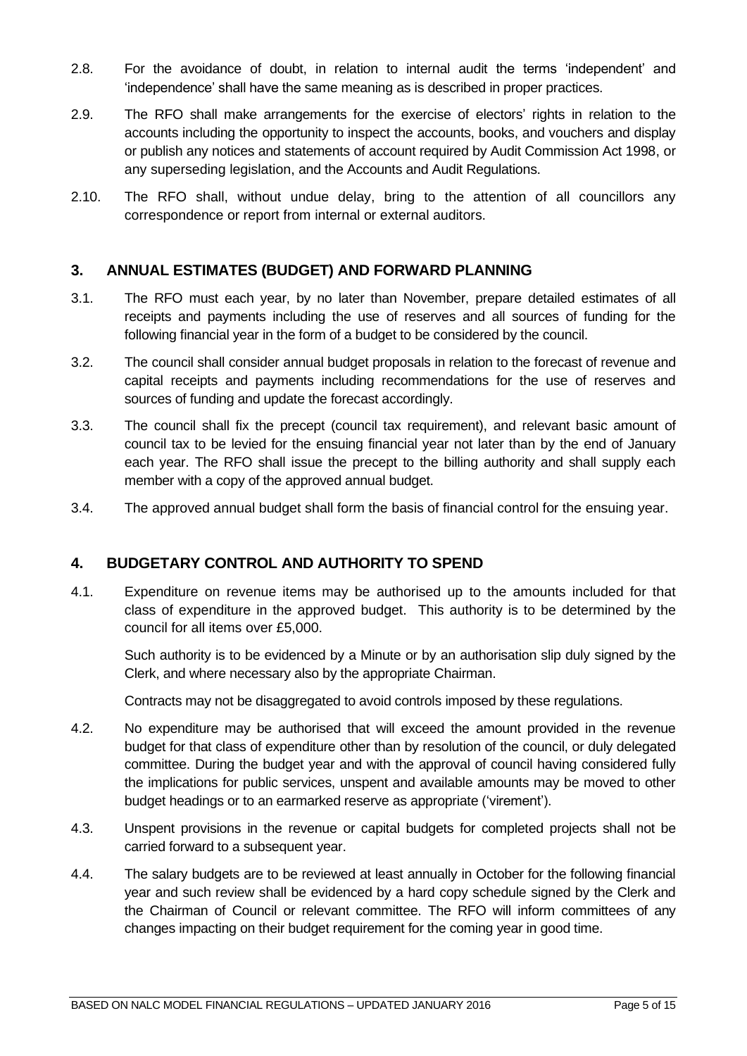- 2.8. For the avoidance of doubt, in relation to internal audit the terms 'independent' and 'independence' shall have the same meaning as is described in proper practices.
- 2.9. The RFO shall make arrangements for the exercise of electors' rights in relation to the accounts including the opportunity to inspect the accounts, books, and vouchers and display or publish any notices and statements of account required by Audit Commission Act 1998, or any superseding legislation, and the Accounts and Audit Regulations.
- 2.10. The RFO shall, without undue delay, bring to the attention of all councillors any correspondence or report from internal or external auditors.

#### <span id="page-4-0"></span>**3. ANNUAL ESTIMATES (BUDGET) AND FORWARD PLANNING**

- 3.1. The RFO must each year, by no later than November, prepare detailed estimates of all receipts and payments including the use of reserves and all sources of funding for the following financial year in the form of a budget to be considered by the council.
- 3.2. The council shall consider annual budget proposals in relation to the forecast of revenue and capital receipts and payments including recommendations for the use of reserves and sources of funding and update the forecast accordingly.
- 3.3. The council shall fix the precept (council tax requirement), and relevant basic amount of council tax to be levied for the ensuing financial year not later than by the end of January each year. The RFO shall issue the precept to the billing authority and shall supply each member with a copy of the approved annual budget.
- 3.4. The approved annual budget shall form the basis of financial control for the ensuing year.

# <span id="page-4-1"></span>**4. BUDGETARY CONTROL AND AUTHORITY TO SPEND**

4.1. Expenditure on revenue items may be authorised up to the amounts included for that class of expenditure in the approved budget. This authority is to be determined by the council for all items over £5,000.

Such authority is to be evidenced by a Minute or by an authorisation slip duly signed by the Clerk, and where necessary also by the appropriate Chairman.

Contracts may not be disaggregated to avoid controls imposed by these regulations.

- 4.2. No expenditure may be authorised that will exceed the amount provided in the revenue budget for that class of expenditure other than by resolution of the council, or duly delegated committee. During the budget year and with the approval of council having considered fully the implications for public services, unspent and available amounts may be moved to other budget headings or to an earmarked reserve as appropriate ('virement').
- 4.3. Unspent provisions in the revenue or capital budgets for completed projects shall not be carried forward to a subsequent year.
- 4.4. The salary budgets are to be reviewed at least annually in October for the following financial year and such review shall be evidenced by a hard copy schedule signed by the Clerk and the Chairman of Council or relevant committee. The RFO will inform committees of any changes impacting on their budget requirement for the coming year in good time.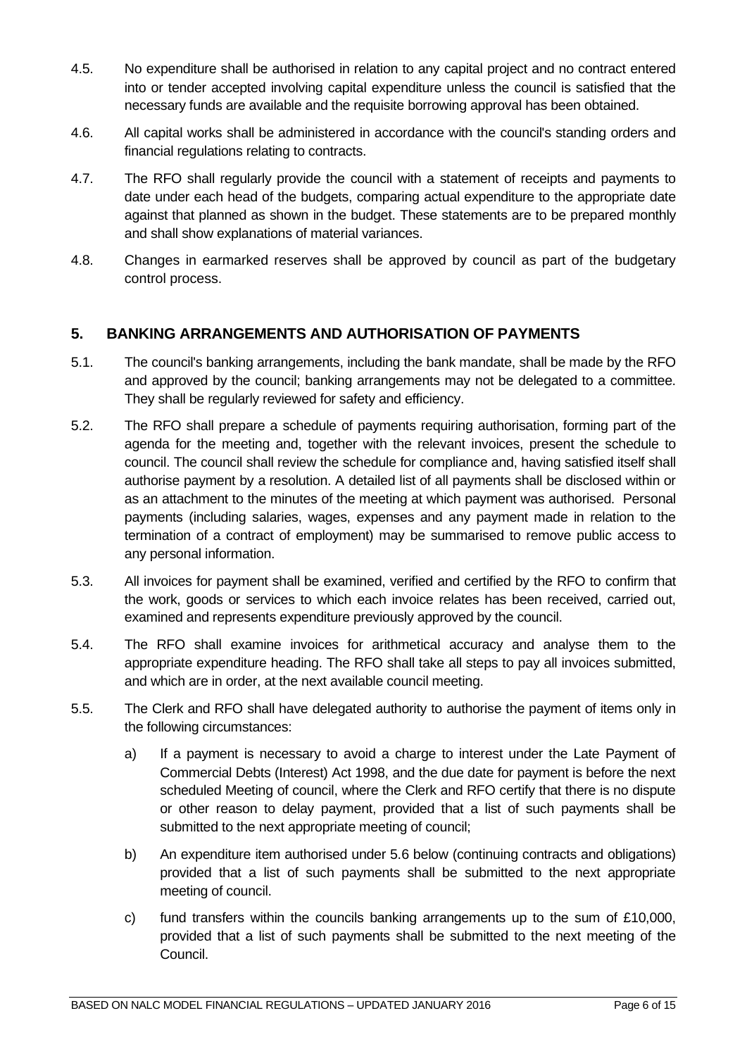- 4.5. No expenditure shall be authorised in relation to any capital project and no contract entered into or tender accepted involving capital expenditure unless the council is satisfied that the necessary funds are available and the requisite borrowing approval has been obtained.
- 4.6. All capital works shall be administered in accordance with the council's standing orders and financial regulations relating to contracts.
- 4.7. The RFO shall regularly provide the council with a statement of receipts and payments to date under each head of the budgets, comparing actual expenditure to the appropriate date against that planned as shown in the budget. These statements are to be prepared monthly and shall show explanations of material variances.
- 4.8. Changes in earmarked reserves shall be approved by council as part of the budgetary control process.

# <span id="page-5-0"></span>**5. BANKING ARRANGEMENTS AND AUTHORISATION OF PAYMENTS**

- 5.1. The council's banking arrangements, including the bank mandate, shall be made by the RFO and approved by the council; banking arrangements may not be delegated to a committee. They shall be regularly reviewed for safety and efficiency.
- 5.2. The RFO shall prepare a schedule of payments requiring authorisation, forming part of the agenda for the meeting and, together with the relevant invoices, present the schedule to council. The council shall review the schedule for compliance and, having satisfied itself shall authorise payment by a resolution. A detailed list of all payments shall be disclosed within or as an attachment to the minutes of the meeting at which payment was authorised. Personal payments (including salaries, wages, expenses and any payment made in relation to the termination of a contract of employment) may be summarised to remove public access to any personal information.
- 5.3. All invoices for payment shall be examined, verified and certified by the RFO to confirm that the work, goods or services to which each invoice relates has been received, carried out, examined and represents expenditure previously approved by the council.
- 5.4. The RFO shall examine invoices for arithmetical accuracy and analyse them to the appropriate expenditure heading. The RFO shall take all steps to pay all invoices submitted, and which are in order, at the next available council meeting.
- 5.5. The Clerk and RFO shall have delegated authority to authorise the payment of items only in the following circumstances:
	- a) If a payment is necessary to avoid a charge to interest under the Late Payment of Commercial Debts (Interest) Act 1998, and the due date for payment is before the next scheduled Meeting of council, where the Clerk and RFO certify that there is no dispute or other reason to delay payment, provided that a list of such payments shall be submitted to the next appropriate meeting of council;
	- b) An expenditure item authorised under 5.6 below (continuing contracts and obligations) provided that a list of such payments shall be submitted to the next appropriate meeting of council.
	- c) fund transfers within the councils banking arrangements up to the sum of  $£10,000$ . provided that a list of such payments shall be submitted to the next meeting of the Council.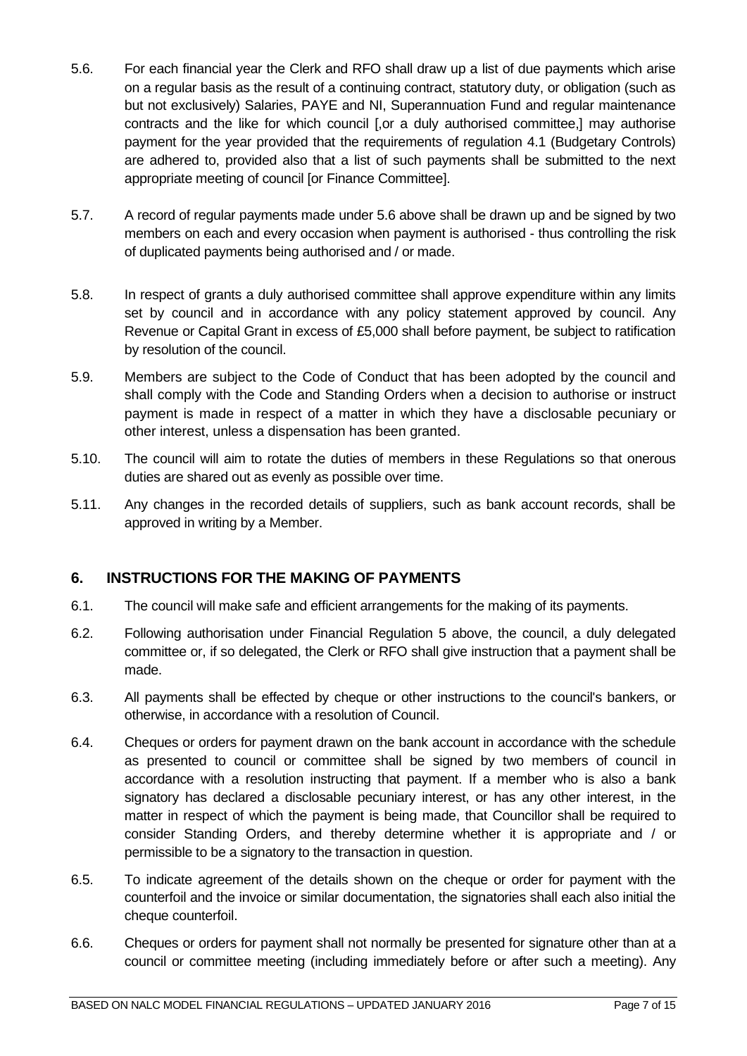- 5.6. For each financial year the Clerk and RFO shall draw up a list of due payments which arise on a regular basis as the result of a continuing contract, statutory duty, or obligation (such as but not exclusively) Salaries, PAYE and NI, Superannuation Fund and regular maintenance contracts and the like for which council [,or a duly authorised committee,] may authorise payment for the year provided that the requirements of regulation 4.1 (Budgetary Controls) are adhered to, provided also that a list of such payments shall be submitted to the next appropriate meeting of council [or Finance Committee].
- 5.7. A record of regular payments made under 5.6 above shall be drawn up and be signed by two members on each and every occasion when payment is authorised - thus controlling the risk of duplicated payments being authorised and / or made.
- 5.8. In respect of grants a duly authorised committee shall approve expenditure within any limits set by council and in accordance with any policy statement approved by council. Any Revenue or Capital Grant in excess of £5,000 shall before payment, be subject to ratification by resolution of the council.
- 5.9. Members are subject to the Code of Conduct that has been adopted by the council and shall comply with the Code and Standing Orders when a decision to authorise or instruct payment is made in respect of a matter in which they have a disclosable pecuniary or other interest, unless a dispensation has been granted.
- 5.10. The council will aim to rotate the duties of members in these Regulations so that onerous duties are shared out as evenly as possible over time.
- 5.11. Any changes in the recorded details of suppliers, such as bank account records, shall be approved in writing by a Member.

#### <span id="page-6-0"></span>**6. INSTRUCTIONS FOR THE MAKING OF PAYMENTS**

- 6.1. The council will make safe and efficient arrangements for the making of its payments.
- 6.2. Following authorisation under Financial Regulation 5 above, the council, a duly delegated committee or, if so delegated, the Clerk or RFO shall give instruction that a payment shall be made.
- 6.3. All payments shall be effected by cheque or other instructions to the council's bankers, or otherwise, in accordance with a resolution of Council.
- 6.4. Cheques or orders for payment drawn on the bank account in accordance with the schedule as presented to council or committee shall be signed by two members of council in accordance with a resolution instructing that payment. If a member who is also a bank signatory has declared a disclosable pecuniary interest, or has any other interest, in the matter in respect of which the payment is being made, that Councillor shall be required to consider Standing Orders, and thereby determine whether it is appropriate and / or permissible to be a signatory to the transaction in question.
- 6.5. To indicate agreement of the details shown on the cheque or order for payment with the counterfoil and the invoice or similar documentation, the signatories shall each also initial the cheque counterfoil.
- 6.6. Cheques or orders for payment shall not normally be presented for signature other than at a council or committee meeting (including immediately before or after such a meeting). Any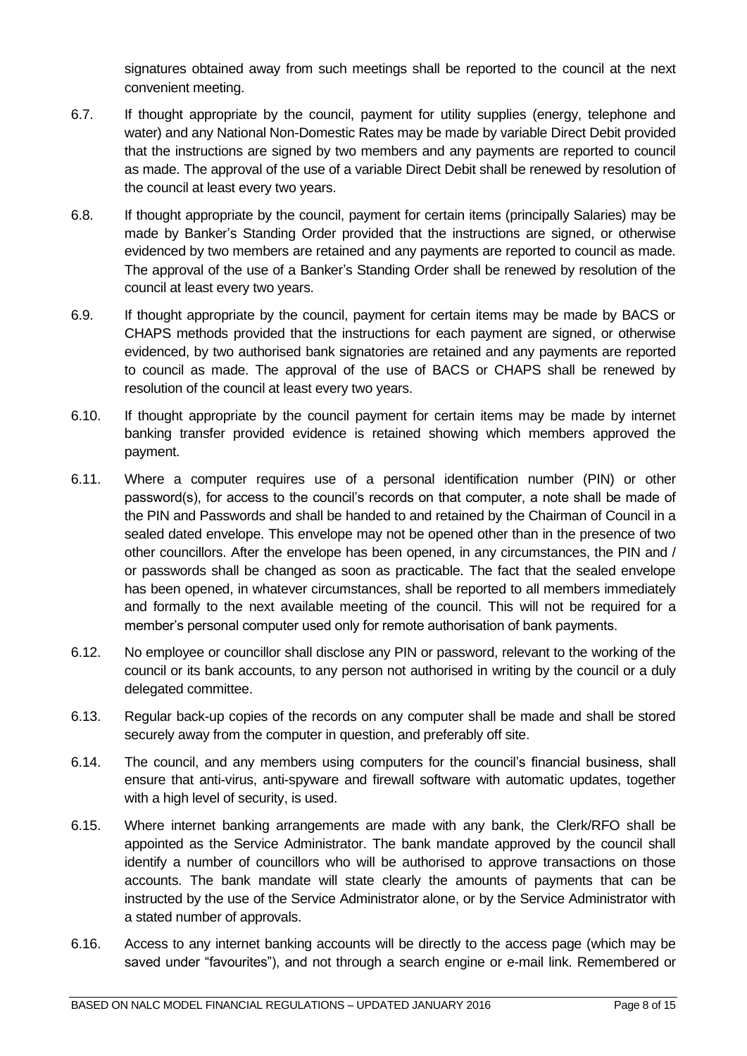signatures obtained away from such meetings shall be reported to the council at the next convenient meeting.

- 6.7. If thought appropriate by the council, payment for utility supplies (energy, telephone and water) and any National Non-Domestic Rates may be made by variable Direct Debit provided that the instructions are signed by two members and any payments are reported to council as made. The approval of the use of a variable Direct Debit shall be renewed by resolution of the council at least every two years.
- 6.8. If thought appropriate by the council, payment for certain items (principally Salaries) may be made by Banker's Standing Order provided that the instructions are signed, or otherwise evidenced by two members are retained and any payments are reported to council as made. The approval of the use of a Banker's Standing Order shall be renewed by resolution of the council at least every two years.
- 6.9. If thought appropriate by the council, payment for certain items may be made by BACS or CHAPS methods provided that the instructions for each payment are signed, or otherwise evidenced, by two authorised bank signatories are retained and any payments are reported to council as made. The approval of the use of BACS or CHAPS shall be renewed by resolution of the council at least every two years.
- 6.10. If thought appropriate by the council payment for certain items may be made by internet banking transfer provided evidence is retained showing which members approved the payment.
- 6.11. Where a computer requires use of a personal identification number (PIN) or other password(s), for access to the council's records on that computer, a note shall be made of the PIN and Passwords and shall be handed to and retained by the Chairman of Council in a sealed dated envelope. This envelope may not be opened other than in the presence of two other councillors. After the envelope has been opened, in any circumstances, the PIN and / or passwords shall be changed as soon as practicable. The fact that the sealed envelope has been opened, in whatever circumstances, shall be reported to all members immediately and formally to the next available meeting of the council. This will not be required for a member's personal computer used only for remote authorisation of bank payments.
- 6.12. No employee or councillor shall disclose any PIN or password, relevant to the working of the council or its bank accounts, to any person not authorised in writing by the council or a duly delegated committee.
- 6.13. Regular back-up copies of the records on any computer shall be made and shall be stored securely away from the computer in question, and preferably off site.
- 6.14. The council, and any members using computers for the council's financial business, shall ensure that anti-virus, anti-spyware and firewall software with automatic updates, together with a high level of security, is used.
- 6.15. Where internet banking arrangements are made with any bank, the Clerk/RFO shall be appointed as the Service Administrator. The bank mandate approved by the council shall identify a number of councillors who will be authorised to approve transactions on those accounts. The bank mandate will state clearly the amounts of payments that can be instructed by the use of the Service Administrator alone, or by the Service Administrator with a stated number of approvals.
- 6.16. Access to any internet banking accounts will be directly to the access page (which may be saved under "favourites"), and not through a search engine or e-mail link. Remembered or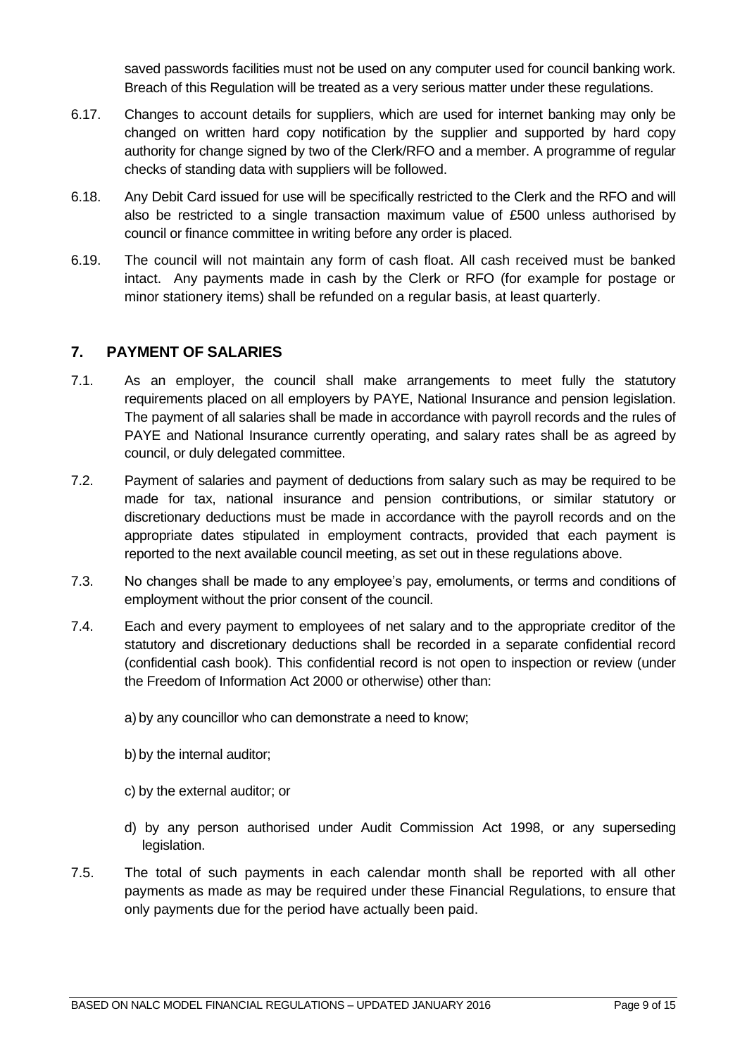saved passwords facilities must not be used on any computer used for council banking work. Breach of this Regulation will be treated as a very serious matter under these regulations.

- 6.17. Changes to account details for suppliers, which are used for internet banking may only be changed on written hard copy notification by the supplier and supported by hard copy authority for change signed by two of the Clerk/RFO and a member. A programme of regular checks of standing data with suppliers will be followed.
- 6.18. Any Debit Card issued for use will be specifically restricted to the Clerk and the RFO and will also be restricted to a single transaction maximum value of £500 unless authorised by council or finance committee in writing before any order is placed.
- 6.19. The council will not maintain any form of cash float. All cash received must be banked intact. Any payments made in cash by the Clerk or RFO (for example for postage or minor stationery items) shall be refunded on a regular basis, at least quarterly.

### <span id="page-8-0"></span>**7. PAYMENT OF SALARIES**

- 7.1. As an employer, the council shall make arrangements to meet fully the statutory requirements placed on all employers by PAYE, National Insurance and pension legislation. The payment of all salaries shall be made in accordance with payroll records and the rules of PAYE and National Insurance currently operating, and salary rates shall be as agreed by council, or duly delegated committee.
- 7.2. Payment of salaries and payment of deductions from salary such as may be required to be made for tax, national insurance and pension contributions, or similar statutory or discretionary deductions must be made in accordance with the payroll records and on the appropriate dates stipulated in employment contracts, provided that each payment is reported to the next available council meeting, as set out in these regulations above.
- 7.3. No changes shall be made to any employee's pay, emoluments, or terms and conditions of employment without the prior consent of the council.
- 7.4. Each and every payment to employees of net salary and to the appropriate creditor of the statutory and discretionary deductions shall be recorded in a separate confidential record (confidential cash book). This confidential record is not open to inspection or review (under the Freedom of Information Act 2000 or otherwise) other than:
	- a) by any councillor who can demonstrate a need to know;
	- b) by the internal auditor;
	- c) by the external auditor; or
	- d) by any person authorised under Audit Commission Act 1998, or any superseding legislation.
- 7.5. The total of such payments in each calendar month shall be reported with all other payments as made as may be required under these Financial Regulations, to ensure that only payments due for the period have actually been paid.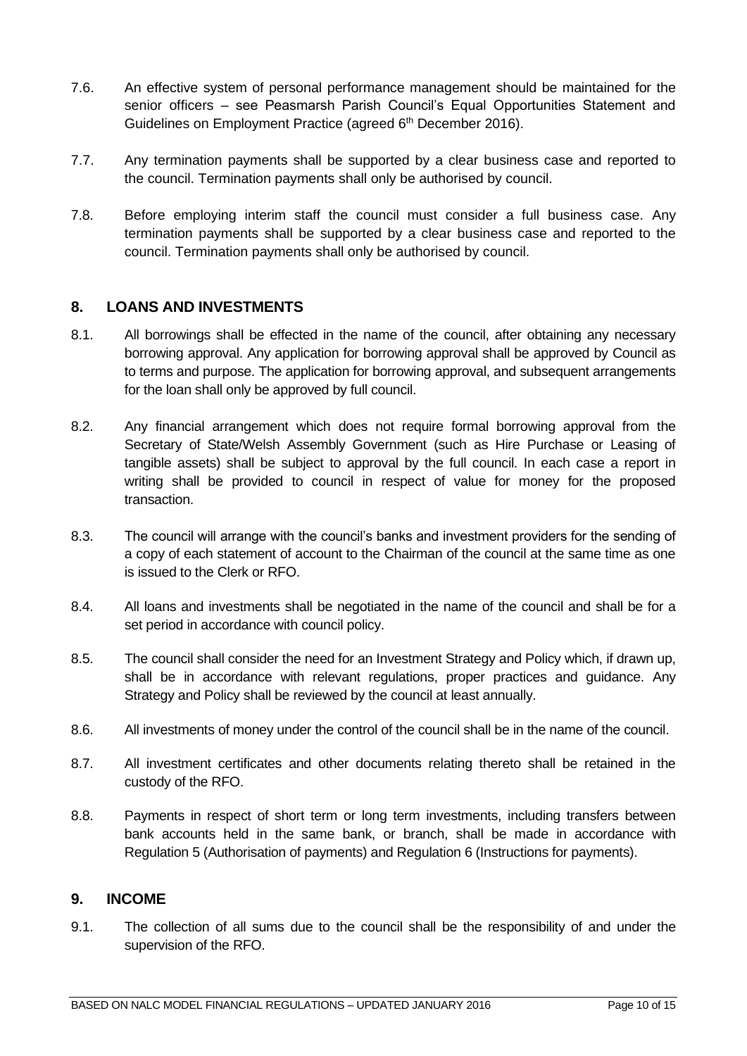- 7.6. An effective system of personal performance management should be maintained for the senior officers – see Peasmarsh Parish Council's Equal Opportunities Statement and Guidelines on Employment Practice (agreed 6<sup>th</sup> December 2016).
- 7.7. Any termination payments shall be supported by a clear business case and reported to the council. Termination payments shall only be authorised by council.
- 7.8. Before employing interim staff the council must consider a full business case. Any termination payments shall be supported by a clear business case and reported to the council. Termination payments shall only be authorised by council.

#### <span id="page-9-0"></span>**8. LOANS AND INVESTMENTS**

- 8.1. All borrowings shall be effected in the name of the council, after obtaining any necessary borrowing approval. Any application for borrowing approval shall be approved by Council as to terms and purpose. The application for borrowing approval, and subsequent arrangements for the loan shall only be approved by full council.
- 8.2. Any financial arrangement which does not require formal borrowing approval from the Secretary of State/Welsh Assembly Government (such as Hire Purchase or Leasing of tangible assets) shall be subject to approval by the full council. In each case a report in writing shall be provided to council in respect of value for money for the proposed transaction.
- 8.3. The council will arrange with the council's banks and investment providers for the sending of a copy of each statement of account to the Chairman of the council at the same time as one is issued to the Clerk or RFO.
- 8.4. All loans and investments shall be negotiated in the name of the council and shall be for a set period in accordance with council policy.
- 8.5. The council shall consider the need for an Investment Strategy and Policy which, if drawn up, shall be in accordance with relevant regulations, proper practices and guidance. Any Strategy and Policy shall be reviewed by the council at least annually.
- 8.6. All investments of money under the control of the council shall be in the name of the council.
- 8.7. All investment certificates and other documents relating thereto shall be retained in the custody of the RFO.
- 8.8. Payments in respect of short term or long term investments, including transfers between bank accounts held in the same bank, or branch, shall be made in accordance with Regulation 5 (Authorisation of payments) and Regulation 6 (Instructions for payments).

#### <span id="page-9-1"></span>**9. INCOME**

9.1. The collection of all sums due to the council shall be the responsibility of and under the supervision of the RFO.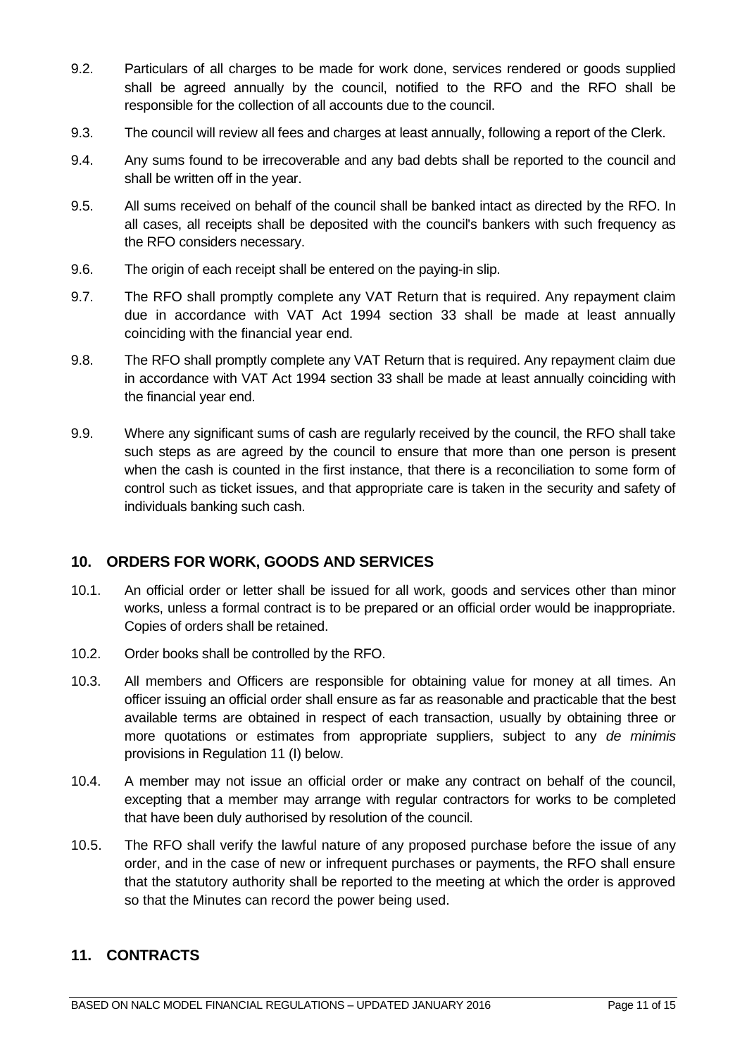- 9.2. Particulars of all charges to be made for work done, services rendered or goods supplied shall be agreed annually by the council, notified to the RFO and the RFO shall be responsible for the collection of all accounts due to the council.
- 9.3. The council will review all fees and charges at least annually, following a report of the Clerk.
- 9.4. Any sums found to be irrecoverable and any bad debts shall be reported to the council and shall be written off in the year.
- 9.5. All sums received on behalf of the council shall be banked intact as directed by the RFO. In all cases, all receipts shall be deposited with the council's bankers with such frequency as the RFO considers necessary.
- 9.6. The origin of each receipt shall be entered on the paying-in slip.
- 9.7. The RFO shall promptly complete any VAT Return that is required. Any repayment claim due in accordance with VAT Act 1994 section 33 shall be made at least annually coinciding with the financial year end.
- 9.8. The RFO shall promptly complete any VAT Return that is required. Any repayment claim due in accordance with VAT Act 1994 section 33 shall be made at least annually coinciding with the financial year end.
- 9.9. Where any significant sums of cash are regularly received by the council, the RFO shall take such steps as are agreed by the council to ensure that more than one person is present when the cash is counted in the first instance, that there is a reconciliation to some form of control such as ticket issues, and that appropriate care is taken in the security and safety of individuals banking such cash.

# <span id="page-10-0"></span>**10. ORDERS FOR WORK, GOODS AND SERVICES**

- 10.1. An official order or letter shall be issued for all work, goods and services other than minor works, unless a formal contract is to be prepared or an official order would be inappropriate. Copies of orders shall be retained.
- 10.2. Order books shall be controlled by the RFO.
- 10.3. All members and Officers are responsible for obtaining value for money at all times. An officer issuing an official order shall ensure as far as reasonable and practicable that the best available terms are obtained in respect of each transaction, usually by obtaining three or more quotations or estimates from appropriate suppliers, subject to any *de minimis* provisions in Regulation 11 (I) below.
- 10.4. A member may not issue an official order or make any contract on behalf of the council, excepting that a member may arrange with regular contractors for works to be completed that have been duly authorised by resolution of the council.
- 10.5. The RFO shall verify the lawful nature of any proposed purchase before the issue of any order, and in the case of new or infrequent purchases or payments, the RFO shall ensure that the statutory authority shall be reported to the meeting at which the order is approved so that the Minutes can record the power being used.

# <span id="page-10-1"></span>**11. CONTRACTS**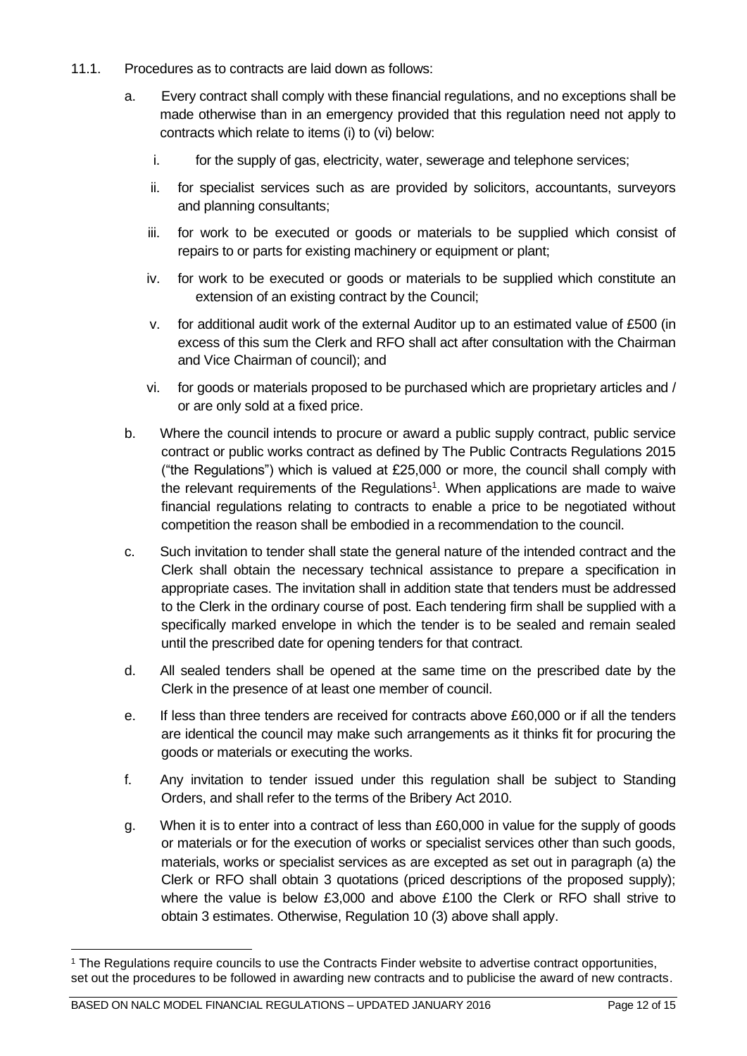- 11.1. Procedures as to contracts are laid down as follows:
	- a. Every contract shall comply with these financial regulations, and no exceptions shall be made otherwise than in an emergency provided that this regulation need not apply to contracts which relate to items (i) to (vi) below:
		- i. for the supply of gas, electricity, water, sewerage and telephone services;
		- ii. for specialist services such as are provided by solicitors, accountants, surveyors and planning consultants;
		- iii. for work to be executed or goods or materials to be supplied which consist of repairs to or parts for existing machinery or equipment or plant;
		- iv. for work to be executed or goods or materials to be supplied which constitute an extension of an existing contract by the Council;
		- v. for additional audit work of the external Auditor up to an estimated value of £500 (in excess of this sum the Clerk and RFO shall act after consultation with the Chairman and Vice Chairman of council); and
		- vi. for goods or materials proposed to be purchased which are proprietary articles and / or are only sold at a fixed price.
	- b. Where the council intends to procure or award a public supply contract, public service contract or public works contract as defined by The Public Contracts Regulations 2015 ("the Regulations") which is valued at £25,000 or more, the council shall comply with the relevant requirements of the Regulations<sup>1</sup>. When applications are made to waive financial regulations relating to contracts to enable a price to be negotiated without competition the reason shall be embodied in a recommendation to the council.
	- c. Such invitation to tender shall state the general nature of the intended contract and the Clerk shall obtain the necessary technical assistance to prepare a specification in appropriate cases. The invitation shall in addition state that tenders must be addressed to the Clerk in the ordinary course of post. Each tendering firm shall be supplied with a specifically marked envelope in which the tender is to be sealed and remain sealed until the prescribed date for opening tenders for that contract.
	- d. All sealed tenders shall be opened at the same time on the prescribed date by the Clerk in the presence of at least one member of council.
	- e. If less than three tenders are received for contracts above £60,000 or if all the tenders are identical the council may make such arrangements as it thinks fit for procuring the goods or materials or executing the works.
	- f. Any invitation to tender issued under this regulation shall be subject to Standing Orders, and shall refer to the terms of the Bribery Act 2010.
	- g. When it is to enter into a contract of less than £60,000 in value for the supply of goods or materials or for the execution of works or specialist services other than such goods, materials, works or specialist services as are excepted as set out in paragraph (a) the Clerk or RFO shall obtain 3 quotations (priced descriptions of the proposed supply); where the value is below £3,000 and above £100 the Clerk or RFO shall strive to obtain 3 estimates. Otherwise, Regulation 10 (3) above shall apply.

<sup>&</sup>lt;sup>1</sup> The Regulations require councils to use the Contracts Finder website to advertise contract opportunities, set out the procedures to be followed in awarding new contracts and to publicise the award of new contracts.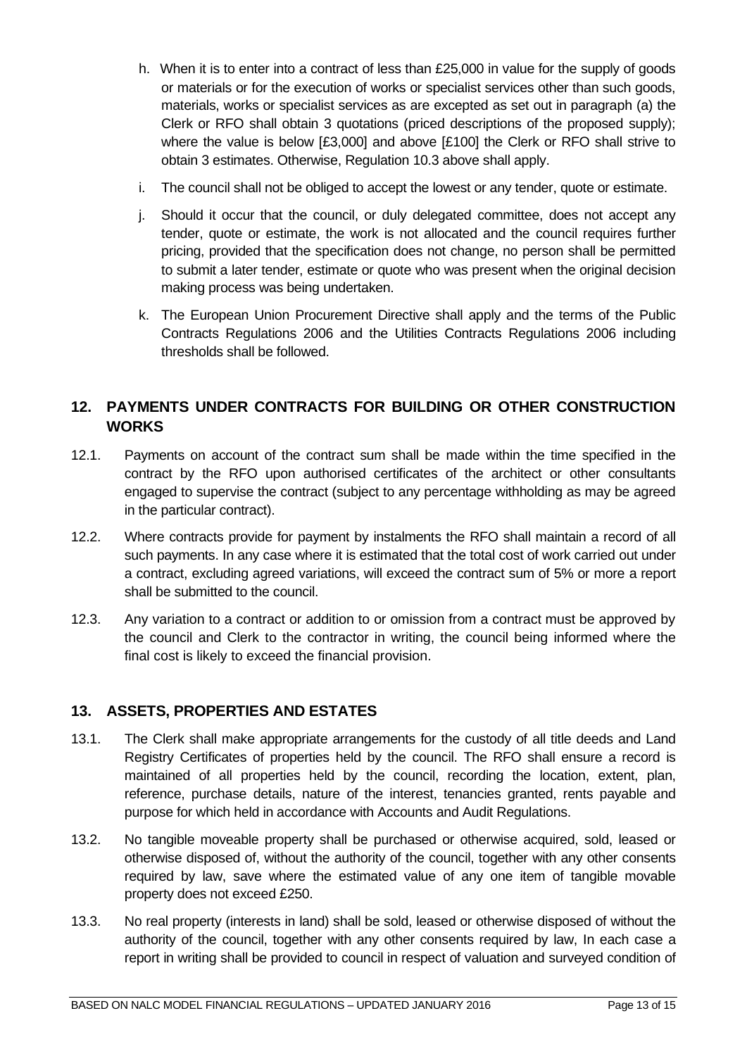- h. When it is to enter into a contract of less than £25,000 in value for the supply of goods or materials or for the execution of works or specialist services other than such goods, materials, works or specialist services as are excepted as set out in paragraph (a) the Clerk or RFO shall obtain 3 quotations (priced descriptions of the proposed supply); where the value is below [£3,000] and above [£100] the Clerk or RFO shall strive to obtain 3 estimates. Otherwise, Regulation 10.3 above shall apply.
- i. The council shall not be obliged to accept the lowest or any tender, quote or estimate.
- j. Should it occur that the council, or duly delegated committee, does not accept any tender, quote or estimate, the work is not allocated and the council requires further pricing, provided that the specification does not change, no person shall be permitted to submit a later tender, estimate or quote who was present when the original decision making process was being undertaken.
- k. The European Union Procurement Directive shall apply and the terms of the Public Contracts Regulations 2006 and the Utilities Contracts Regulations 2006 including thresholds shall be followed.

# <span id="page-12-0"></span>**12. PAYMENTS UNDER CONTRACTS FOR BUILDING OR OTHER CONSTRUCTION WORKS**

- 12.1. Payments on account of the contract sum shall be made within the time specified in the contract by the RFO upon authorised certificates of the architect or other consultants engaged to supervise the contract (subject to any percentage withholding as may be agreed in the particular contract).
- 12.2. Where contracts provide for payment by instalments the RFO shall maintain a record of all such payments. In any case where it is estimated that the total cost of work carried out under a contract, excluding agreed variations, will exceed the contract sum of 5% or more a report shall be submitted to the council.
- 12.3. Any variation to a contract or addition to or omission from a contract must be approved by the council and Clerk to the contractor in writing, the council being informed where the final cost is likely to exceed the financial provision.

# <span id="page-12-1"></span>**13. ASSETS, PROPERTIES AND ESTATES**

- 13.1. The Clerk shall make appropriate arrangements for the custody of all title deeds and Land Registry Certificates of properties held by the council. The RFO shall ensure a record is maintained of all properties held by the council, recording the location, extent, plan, reference, purchase details, nature of the interest, tenancies granted, rents payable and purpose for which held in accordance with Accounts and Audit Regulations.
- 13.2. No tangible moveable property shall be purchased or otherwise acquired, sold, leased or otherwise disposed of, without the authority of the council, together with any other consents required by law, save where the estimated value of any one item of tangible movable property does not exceed £250.
- 13.3. No real property (interests in land) shall be sold, leased or otherwise disposed of without the authority of the council, together with any other consents required by law, In each case a report in writing shall be provided to council in respect of valuation and surveyed condition of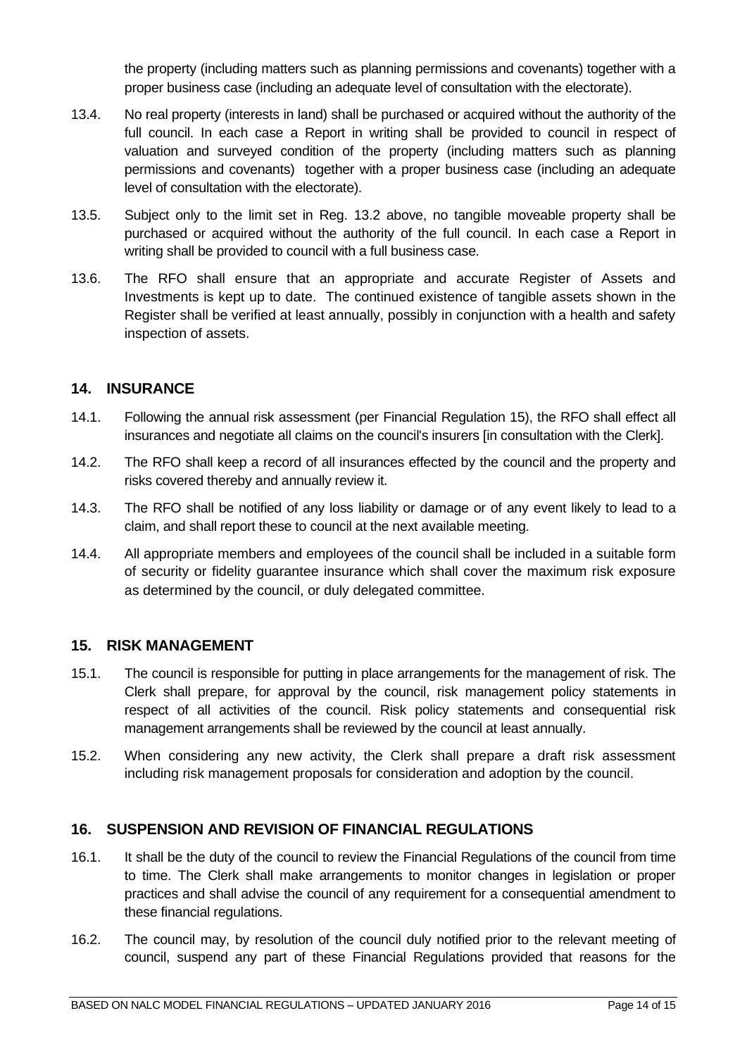the property (including matters such as planning permissions and covenants) together with a proper business case (including an adequate level of consultation with the electorate).

- 13.4. No real property (interests in land) shall be purchased or acquired without the authority of the full council. In each case a Report in writing shall be provided to council in respect of valuation and surveyed condition of the property (including matters such as planning permissions and covenants) together with a proper business case (including an adequate level of consultation with the electorate).
- 13.5. Subject only to the limit set in Reg. 13.2 above, no tangible moveable property shall be purchased or acquired without the authority of the full council. In each case a Report in writing shall be provided to council with a full business case.
- 13.6. The RFO shall ensure that an appropriate and accurate Register of Assets and Investments is kept up to date. The continued existence of tangible assets shown in the Register shall be verified at least annually, possibly in conjunction with a health and safety inspection of assets.

#### <span id="page-13-0"></span>**14. INSURANCE**

- 14.1. Following the annual risk assessment (per Financial Regulation 15), the RFO shall effect all insurances and negotiate all claims on the council's insurers [in consultation with the Clerk].
- 14.2. The RFO shall keep a record of all insurances effected by the council and the property and risks covered thereby and annually review it.
- 14.3. The RFO shall be notified of any loss liability or damage or of any event likely to lead to a claim, and shall report these to council at the next available meeting.
- 14.4. All appropriate members and employees of the council shall be included in a suitable form of security or fidelity guarantee insurance which shall cover the maximum risk exposure as determined by the council, or duly delegated committee.

#### **15. RISK MANAGEMENT**

- 15.1. The council is responsible for putting in place arrangements for the management of risk. The Clerk shall prepare, for approval by the council, risk management policy statements in respect of all activities of the council. Risk policy statements and consequential risk management arrangements shall be reviewed by the council at least annually.
- 15.2. When considering any new activity, the Clerk shall prepare a draft risk assessment including risk management proposals for consideration and adoption by the council.

#### **16. SUSPENSION AND REVISION OF FINANCIAL REGULATIONS**

- 16.1. It shall be the duty of the council to review the Financial Regulations of the council from time to time. The Clerk shall make arrangements to monitor changes in legislation or proper practices and shall advise the council of any requirement for a consequential amendment to these financial regulations.
- 16.2. The council may, by resolution of the council duly notified prior to the relevant meeting of council, suspend any part of these Financial Regulations provided that reasons for the